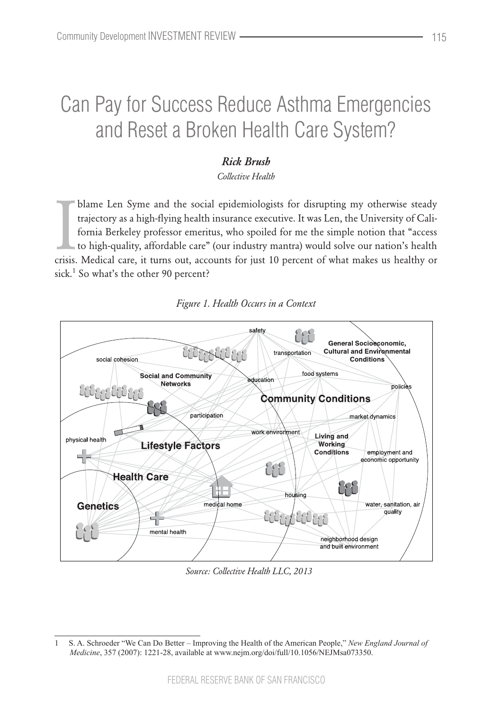# Can Pay for Success Reduce Asthma Emergencies and Reset a Broken Health Care System?

## *Rick Brush*

*Collective Health*

blame Len Syme and the social epidemiologists for disrupting my otherwise steady trajectory as a high-flying health insurance executive. It was Len, the University of California Berkeley professor emeritus, who spoiled for blame Len Syme and the social epidemiologists for disrupting my otherwise steady trajectory as a high-flying health insurance executive. It was Len, the University of California Berkeley professor emeritus, who spoiled for me the simple notion that "access to high-quality, affordable care" (our industry mantra) would solve our nation's health sick.<sup>1</sup> So what's the other 90 percent?



#### *Figure 1. Health Occurs in a Context*

*Source: Collective Health LLC, 2013*

<sup>1</sup> S. A. Schroeder "We Can Do Better – Improving the Health of the American People," *New England Journal of Medicine*, 357 (2007): 1221-28, available at www.nejm.org/doi/full/10.1056/NEJMsa073350.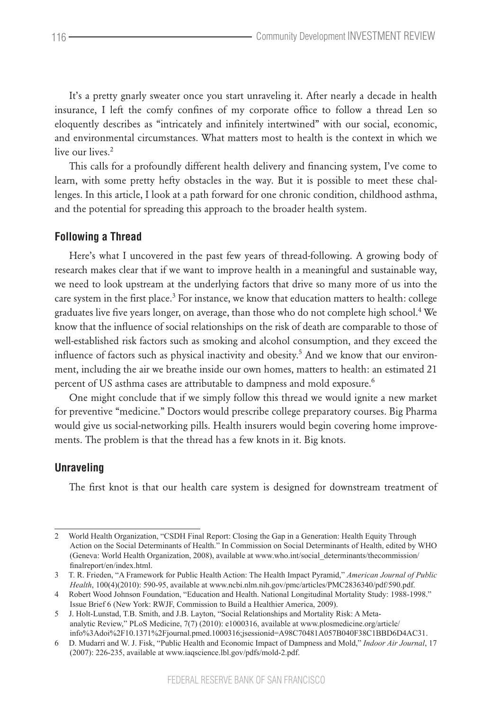It's a pretty gnarly sweater once you start unraveling it. After nearly a decade in health insurance, I left the comfy confines of my corporate office to follow a thread Len so eloquently describes as "intricately and infinitely intertwined" with our social, economic, and environmental circumstances. What matters most to health is the context in which we live our lives.<sup>2</sup>

This calls for a profoundly different health delivery and financing system, I've come to learn, with some pretty hefty obstacles in the way. But it is possible to meet these challenges. In this article, I look at a path forward for one chronic condition, childhood asthma, and the potential for spreading this approach to the broader health system.

#### **Following a Thread**

Here's what I uncovered in the past few years of thread-following. A growing body of research makes clear that if we want to improve health in a meaningful and sustainable way, we need to look upstream at the underlying factors that drive so many more of us into the care system in the first place.<sup>3</sup> For instance, we know that education matters to health: college graduates live five years longer, on average, than those who do not complete high school. $^4$  We know that the influence of social relationships on the risk of death are comparable to those of well-established risk factors such as smoking and alcohol consumption, and they exceed the influence of factors such as physical inactivity and obesity.<sup>5</sup> And we know that our environment, including the air we breathe inside our own homes, matters to health: an estimated 21 percent of US asthma cases are attributable to dampness and mold exposure.<sup>6</sup>

One might conclude that if we simply follow this thread we would ignite a new market for preventive "medicine." Doctors would prescribe college preparatory courses. Big Pharma would give us social-networking pills. Health insurers would begin covering home improvements. The problem is that the thread has a few knots in it. Big knots.

#### **Unraveling**

The first knot is that our health care system is designed for downstream treatment of

<sup>2</sup> World Health Organization, "CSDH Final Report: Closing the Gap in a Generation: Health Equity Through Action on the Social Determinants of Health." In Commission on Social Determinants of Health, edited by WHO (Geneva: World Health Organization, 2008), available at www.who.int/social\_determinants/thecommission/ finalreport/en/index.html.

<sup>3</sup> T. R. Frieden, "A Framework for Public Health Action: The Health Impact Pyramid," *American Journal of Public Health*, 100(4)(2010): 590-95, available at www.ncbi.nlm.nih.gov/pmc/articles/PMC2836340/pdf/590.pdf.

<sup>4</sup> Robert Wood Johnson Foundation, "Education and Health. National Longitudinal Mortality Study: 1988-1998." Issue Brief 6 (New York: RWJF, Commission to Build a Healthier America, 2009).

<sup>5</sup> J. Holt-Lunstad, T.B. Smith, and J.B. Layton, "Social Relationships and Mortality Risk: A Metaanalytic Review," PLoS Medicine, 7(7) (2010): e1000316, available at www.plosmedicine.org/article/ info%3Adoi%2F10.1371%2Fjournal.pmed.1000316;jsessionid=A98C70481A057B040F38C1BBD6D4AC31.

<sup>6</sup> D. Mudarri and W. J. Fisk, "Public Health and Economic Impact of Dampness and Mold," *Indoor Air Journal*, 17 (2007): 226-235, available at www.iaqscience.lbl.gov/pdfs/mold-2.pdf.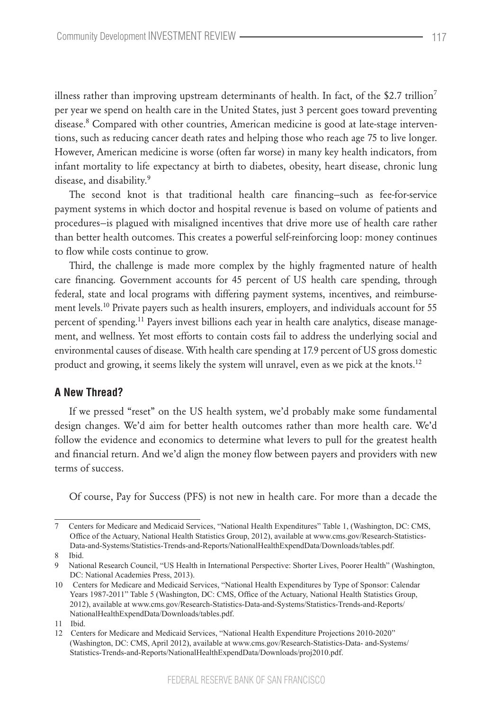illness rather than improving upstream determinants of health. In fact, of the \$2.7 trillion<sup>7</sup> per year we spend on health care in the United States, just 3 percent goes toward preventing disease.<sup>8</sup> Compared with other countries, American medicine is good at late-stage interventions, such as reducing cancer death rates and helping those who reach age 75 to live longer. However, American medicine is worse (often far worse) in many key health indicators, from infant mortality to life expectancy at birth to diabetes, obesity, heart disease, chronic lung disease, and disability.<sup>9</sup>

The second knot is that traditional health care financing—such as fee-for-service payment systems in which doctor and hospital revenue is based on volume of patients and procedures—is plagued with misaligned incentives that drive more use of health care rather than better health outcomes. This creates a powerful self-reinforcing loop: money continues to flow while costs continue to grow.

Third, the challenge is made more complex by the highly fragmented nature of health care financing. Government accounts for 45 percent of US health care spending, through federal, state and local programs with differing payment systems, incentives, and reimbursement levels.<sup>10</sup> Private payers such as health insurers, employers, and individuals account for 55 percent of spending.<sup>11</sup> Payers invest billions each year in health care analytics, disease management, and wellness. Yet most efforts to contain costs fail to address the underlying social and environmental causes of disease. With health care spending at 17.9 percent of US gross domestic product and growing, it seems likely the system will unravel, even as we pick at the knots.<sup>12</sup>

#### **A New Thread?**

If we pressed "reset" on the US health system, we'd probably make some fundamental design changes. We'd aim for better health outcomes rather than more health care. We'd follow the evidence and economics to determine what levers to pull for the greatest health and financial return. And we'd align the money flow between payers and providers with new terms of success.

Of course, Pay for Success (PFS) is not new in health care. For more than a decade the

<sup>7</sup> Centers for Medicare and Medicaid Services, "National Health Expenditures" Table 1, (Washington, DC: CMS, Office of the Actuary, National Health Statistics Group, 2012), available at www.cms.gov/Research-Statistics-Data-and-Systems/Statistics-Trends-and-Reports/NationalHealthExpendData/Downloads/tables.pdf.

<sup>8</sup> Ibid.

<sup>9</sup> National Research Council, "US Health in International Perspective: Shorter Lives, Poorer Health" (Washington, DC: National Academies Press, 2013).

<sup>10</sup> Centers for Medicare and Medicaid Services, "National Health Expenditures by Type of Sponsor: Calendar Years 1987-2011" Table 5 (Washington, DC: CMS, Office of the Actuary, National Health Statistics Group, 2012), available at www.cms.gov/Research-Statistics-Data-and-Systems/Statistics-Trends-and-Reports/ NationalHealthExpendData/Downloads/tables.pdf.

<sup>11</sup> Ibid.

<sup>12</sup> Centers for Medicare and Medicaid Services, "National Health Expenditure Projections 2010-2020" (Washington, DC: CMS, April 2012), available at www.cms.gov/Research-Statistics-Data- and-Systems/ Statistics-Trends-and-Reports/NationalHealthExpendData/Downloads/proj2010.pdf.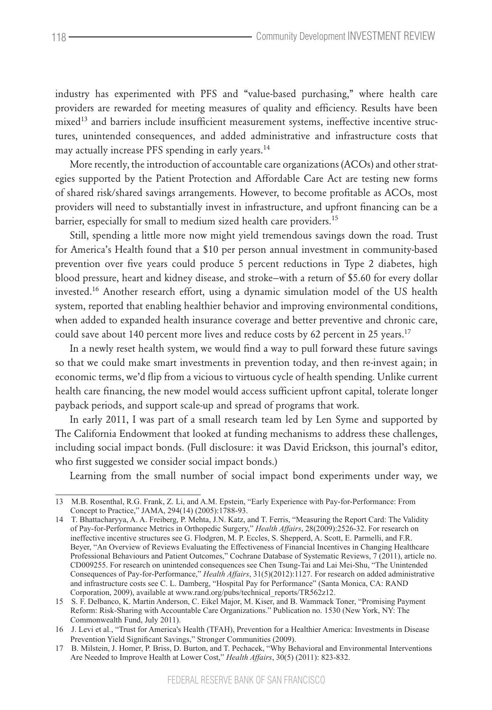industry has experimented with PFS and "value-based purchasing," where health care providers are rewarded for meeting measures of quality and efficiency. Results have been mixed<sup>13</sup> and barriers include insufficient measurement systems, ineffective incentive structures, unintended consequences, and added administrative and infrastructure costs that may actually increase PFS spending in early years.<sup>14</sup>

More recently, the introduction of accountable care organizations (ACOs) and other strategies supported by the Patient Protection and Affordable Care Act are testing new forms of shared risk/shared savings arrangements. However, to become profitable as ACOs, most providers will need to substantially invest in infrastructure, and upfront financing can be a barrier, especially for small to medium sized health care providers.<sup>15</sup>

Still, spending a little more now might yield tremendous savings down the road. Trust for America's Health found that a \$10 per person annual investment in community-based prevention over five years could produce 5 percent reductions in Type 2 diabetes, high blood pressure, heart and kidney disease, and stroke—with a return of \$5.60 for every dollar invested.<sup>16</sup> Another research effort, using a dynamic simulation model of the US health system, reported that enabling healthier behavior and improving environmental conditions, when added to expanded health insurance coverage and better preventive and chronic care, could save about 140 percent more lives and reduce costs by 62 percent in 25 years.<sup>17</sup>

In a newly reset health system, we would find a way to pull forward these future savings so that we could make smart investments in prevention today, and then re-invest again; in economic terms, we'd flip from a vicious to virtuous cycle of health spending. Unlike current health care financing, the new model would access sufficient upfront capital, tolerate longer payback periods, and support scale-up and spread of programs that work.

In early 2011, I was part of a small research team led by Len Syme and supported by The California Endowment that looked at funding mechanisms to address these challenges, including social impact bonds. (Full disclosure: it was David Erickson, this journal's editor, who first suggested we consider social impact bonds.)

Learning from the small number of social impact bond experiments under way, we

<sup>13</sup> M.B. Rosenthal, R.G. Frank, Z. Li, and A.M. Epstein, "Early Experience with Pay-for-Performance: From Concept to Practice," JAMA, 294(14) (2005):1788-93.

<sup>14</sup> T. Bhattacharyya, A. A. Freiberg, P. Mehta, J.N. Katz, and T. Ferris, "Measuring the Report Card: The Validity of Pay-for-Performance Metrics in Orthopedic Surgery," *Health Affairs*, 28(2009):2526-32. For research on ineffective incentive structures see G. Flodgren, M. P. Eccles, S. Shepperd, A. Scott, E. Parmelli, and F.R. Beyer, "An Overview of Reviews Evaluating the Effectiveness of Financial Incentives in Changing Healthcare Professional Behaviours and Patient Outcomes," Cochrane Database of Systematic Reviews, 7 (2011), article no. CD009255. For research on unintended consequences see Chen Tsung-Tai and Lai Mei-Shu, "The Unintended Consequences of Pay-for-Performance," *Health Affairs*, 31(5)(2012):1127. For research on added administrative and infrastructure costs see C. L. Damberg, "Hospital Pay for Performance" (Santa Monica, CA: RAND Corporation, 2009), available at www.rand.org/pubs/technical\_reports/TR562z12.

<sup>15</sup> S. F. Delbanco, K. Martin Anderson, C. Eikel Major, M. Kiser, and B. Wammack Toner, "Promising Payment Reform: Risk-Sharing with Accountable Care Organizations." Publication no. 1530 (New York, NY: The Commonwealth Fund, July 2011).

<sup>16</sup> J. Levi et al., "Trust for America's Health (TFAH), Prevention for a Healthier America: Investments in Disease Prevention Yield Significant Savings," Stronger Communities (2009).

<sup>17</sup> B. Milstein, J. Homer, P. Briss, D. Burton, and T. Pechacek, "Why Behavioral and Environmental Interventions Are Needed to Improve Health at Lower Cost," *Health Affairs*, 30(5) (2011): 823-832.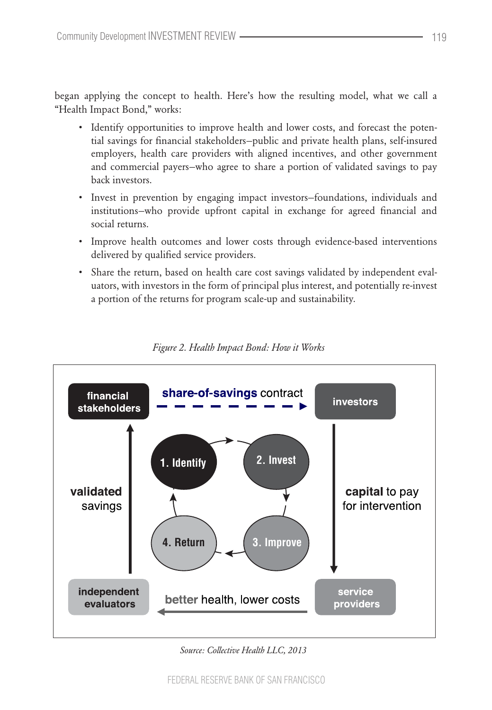began applying the concept to health. Here's how the resulting model, what we call a "Health Impact Bond," works:

- Identify opportunities to improve health and lower costs, and forecast the potential savings for financial stakeholders—public and private health plans, self-insured employers, health care providers with aligned incentives, and other government and commercial payers—who agree to share a portion of validated savings to pay back investors.
- • Invest in prevention by engaging impact investors—foundations, individuals and institutions—who provide upfront capital in exchange for agreed financial and social returns.
- • Improve health outcomes and lower costs through evidence-based interventions delivered by qualified service providers.
- Share the return, based on health care cost savings validated by independent evaluators, with investors in the form of principal plus interest, and potentially re-invest a portion of the returns for program scale-up and sustainability.



*Figure 2. Health Impact Bond: How it Works*

*Source: Collective Health LLC, 2013*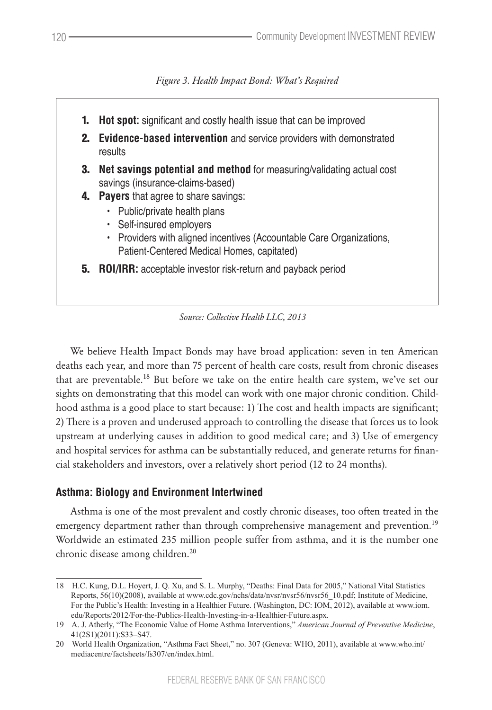*Figure 3. Health Impact Bond: What's Required*



We believe Health Impact Bonds may have broad application: seven in ten American deaths each year, and more than 75 percent of health care costs, result from chronic diseases that are preventable.<sup>18</sup> But before we take on the entire health care system, we've set our sights on demonstrating that this model can work with one major chronic condition. Childhood asthma is a good place to start because: 1) The cost and health impacts are significant; 2) There is a proven and underused approach to controlling the disease that forces us to look upstream at underlying causes in addition to good medical care; and 3) Use of emergency and hospital services for asthma can be substantially reduced, and generate returns for financial stakeholders and investors, over a relatively short period (12 to 24 months).

## **Asthma: Biology and Environment Intertwined**

Asthma is one of the most prevalent and costly chronic diseases, too often treated in the emergency department rather than through comprehensive management and prevention.<sup>19</sup> Worldwide an estimated 235 million people suffer from asthma, and it is the number one chronic disease among children.<sup>20</sup>

<sup>18</sup> H.C. Kung, D.L. Hoyert, J. Q. Xu, and S. L. Murphy, "Deaths: Final Data for 2005," National Vital Statistics Reports, 56(10)(2008), available at www.cdc.gov/nchs/data/nvsr/nvsr56/nvsr56\_10.pdf; Institute of Medicine, For the Public's Health: Investing in a Healthier Future. (Washington, DC: IOM, 2012), available at www.iom. edu/Reports/2012/For-the-Publics-Health-Investing-in-a-Healthier-Future.aspx.

<sup>19</sup> A. J. Atherly, "The Economic Value of Home Asthma Interventions," *American Journal of Preventive Medicine*, 41(2S1)(2011):S33–S47.

<sup>20</sup> World Health Organization, "Asthma Fact Sheet," no. 307 (Geneva: WHO, 2011), available at www.who.int/ mediacentre/factsheets/fs307/en/index.html.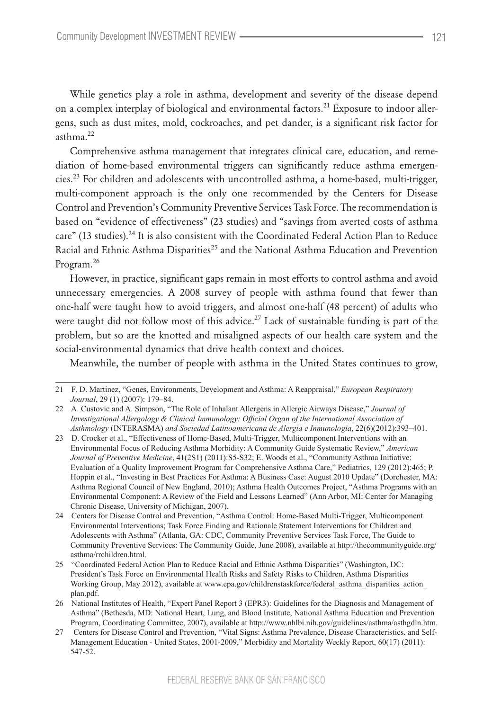While genetics play a role in asthma, development and severity of the disease depend on a complex interplay of biological and environmental factors.<sup>21</sup> Exposure to indoor allergens, such as dust mites, mold, cockroaches, and pet dander, is a significant risk factor for  $asthma<sup>22</sup>$ 

Comprehensive asthma management that integrates clinical care, education, and remediation of home-based environmental triggers can significantly reduce asthma emergen $cies.<sup>23</sup>$  For children and adolescents with uncontrolled asthma, a home-based, multi-trigger, multi-component approach is the only one recommended by the Centers for Disease Control and Prevention's Community Preventive Services Task Force. The recommendation is based on "evidence of effectiveness" (23 studies) and "savings from averted costs of asthma care" (13 studies).<sup>24</sup> It is also consistent with the Coordinated Federal Action Plan to Reduce Racial and Ethnic Asthma Disparities<sup>25</sup> and the National Asthma Education and Prevention Program.<sup>26</sup>

However, in practice, significant gaps remain in most efforts to control asthma and avoid unnecessary emergencies. A 2008 survey of people with asthma found that fewer than one-half were taught how to avoid triggers, and almost one-half (48 percent) of adults who were taught did not follow most of this advice.<sup>27</sup> Lack of sustainable funding is part of the problem, but so are the knotted and misaligned aspects of our health care system and the social-environmental dynamics that drive health context and choices.

Meanwhile, the number of people with asthma in the United States continues to grow,

<sup>21</sup> F. D. Martinez, "Genes, Environments, Development and Asthma: A Reappraisal," *European Respiratory Journal*, 29 (1) (2007): 179–84.

<sup>22</sup> A. Custovic and A. Simpson, "The Role of Inhalant Allergens in Allergic Airways Disease," *Journal of Investigational Allergology & Clinical Immunology: Official Organ of the International Association of Asthmology* (INTERASMA) *and Sociedad Latinoamericana de Alergia e Inmunologia*, 22(6)(2012):393–401.

<sup>23</sup> D. Crocker et al., "Effectiveness of Home-Based, Multi-Trigger, Multicomponent Interventions with an Environmental Focus of Reducing Asthma Morbidity: A Community Guide Systematic Review," *American Journal of Preventive Medicine*, 41(2S1) (2011):S5-S32; E. Woods et al., "Community Asthma Initiative: Evaluation of a Quality Improvement Program for Comprehensive Asthma Care," Pediatrics, 129 (2012):465; P. Hoppin et al., "Investing in Best Practices For Asthma: A Business Case: August 2010 Update" (Dorchester, MA: Asthma Regional Council of New England, 2010); Asthma Health Outcomes Project, "Asthma Programs with an Environmental Component: A Review of the Field and Lessons Learned" (Ann Arbor, MI: Center for Managing Chronic Disease, University of Michigan, 2007).

<sup>24</sup> Centers for Disease Control and Prevention, "Asthma Control: Home-Based Multi-Trigger, Multicomponent Environmental Interventions; Task Force Finding and Rationale Statement Interventions for Children and Adolescents with Asthma" (Atlanta, GA: CDC, Community Preventive Services Task Force, The Guide to Community Preventive Services: The Community Guide, June 2008), available at http://thecommunityguide.org/ asthma/rrchildren.html.

<sup>25</sup> "Coordinated Federal Action Plan to Reduce Racial and Ethnic Asthma Disparities" (Washington, DC: President's Task Force on Environmental Health Risks and Safety Risks to Children, Asthma Disparities Working Group, May 2012), available at www.epa.gov/childrenstaskforce/federal asthma disparities action plan.pdf.

<sup>26</sup> National Institutes of Health, "Expert Panel Report 3 (EPR3): Guidelines for the Diagnosis and Management of Asthma" (Bethesda, MD: National Heart, Lung, and Blood Institute, National Asthma Education and Prevention Program, Coordinating Committee, 2007), available at http://www.nhlbi.nih.gov/guidelines/asthma/asthgdln.htm.

<sup>27</sup> Centers for Disease Control and Prevention, "Vital Signs: Asthma Prevalence, Disease Characteristics, and Self-Management Education - United States, 2001-2009," Morbidity and Mortality Weekly Report, 60(17) (2011): 547-52.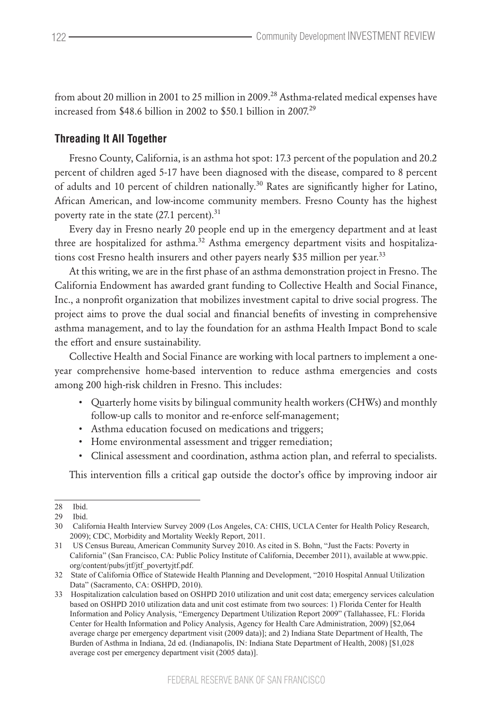from about 20 million in 2001 to 25 million in 2009.<sup>28</sup> Asthma-related medical expenses have increased from \$48.6 billion in 2002 to \$50.1 billion in 2007.<sup>29</sup>

#### **Threading It All Together**

Fresno County, California, is an asthma hot spot: 17.3 percent of the population and 20.2 percent of children aged 5-17 have been diagnosed with the disease, compared to 8 percent of adults and 10 percent of children nationally.<sup>30</sup> Rates are significantly higher for Latino, African American, and low-income community members. Fresno County has the highest poverty rate in the state  $(27.1 \text{ percent})$ .<sup>31</sup>

Every day in Fresno nearly 20 people end up in the emergency department and at least three are hospitalized for asthma.<sup>32</sup> Asthma emergency department visits and hospitalizations cost Fresno health insurers and other payers nearly \$35 million per year.<sup>33</sup>

At this writing, we are in the first phase of an asthma demonstration project in Fresno. The California Endowment has awarded grant funding to Collective Health and Social Finance, Inc., a nonprofit organization that mobilizes investment capital to drive social progress. The project aims to prove the dual social and financial benefits of investing in comprehensive asthma management, and to lay the foundation for an asthma Health Impact Bond to scale the effort and ensure sustainability.

Collective Health and Social Finance are working with local partners to implement a oneyear comprehensive home-based intervention to reduce asthma emergencies and costs among 200 high-risk children in Fresno. This includes:

- • Quarterly home visits by bilingual community health workers (CHWs) and monthly follow-up calls to monitor and re-enforce self-management;
- Asthma education focused on medications and triggers;
- Home environmental assessment and trigger remediation;
- • Clinical assessment and coordination, asthma action plan, and referral to specialists.

This intervention fills a critical gap outside the doctor's office by improving indoor air

<sup>28</sup> Ibid. 29 Ibid.

<sup>30</sup> California Health Interview Survey 2009 (Los Angeles, CA: CHIS, UCLA Center for Health Policy Research, 2009); CDC, Morbidity and Mortality Weekly Report, 2011.

<sup>31</sup> US Census Bureau, American Community Survey 2010. As cited in S. Bohn, "Just the Facts: Poverty in California" (San Francisco, CA: Public Policy Institute of California, December 2011), available at www.ppic. org/content/pubs/jtf/jtf\_povertyjtf.pdf.

<sup>32</sup> State of California Office of Statewide Health Planning and Development, "2010 Hospital Annual Utilization Data" (Sacramento, CA: OSHPD, 2010).

<sup>33</sup> Hospitalization calculation based on OSHPD 2010 utilization and unit cost data; emergency services calculation based on OSHPD 2010 utilization data and unit cost estimate from two sources: 1) Florida Center for Health Information and Policy Analysis, "Emergency Department Utilization Report 2009" (Tallahassee, FL: Florida Center for Health Information and Policy Analysis, Agency for Health Care Administration, 2009) [\$2,064 average charge per emergency department visit (2009 data)]; and 2) Indiana State Department of Health, The Burden of Asthma in Indiana, 2d ed. (Indianapolis, IN: Indiana State Department of Health, 2008) [\$1,028 average cost per emergency department visit (2005 data)].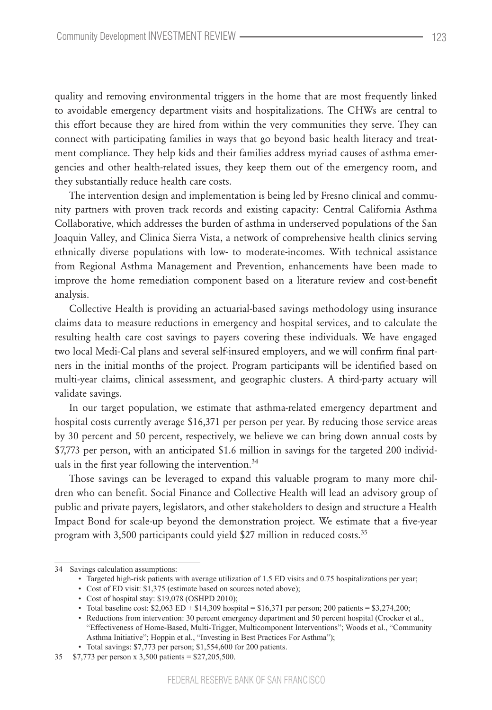quality and removing environmental triggers in the home that are most frequently linked to avoidable emergency department visits and hospitalizations. The CHWs are central to this effort because they are hired from within the very communities they serve. They can connect with participating families in ways that go beyond basic health literacy and treatment compliance. They help kids and their families address myriad causes of asthma emergencies and other health-related issues, they keep them out of the emergency room, and they substantially reduce health care costs.

The intervention design and implementation is being led by Fresno clinical and community partners with proven track records and existing capacity: Central California Asthma Collaborative, which addresses the burden of asthma in underserved populations of the San Joaquin Valley, and Clinica Sierra Vista, a network of comprehensive health clinics serving ethnically diverse populations with low- to moderate-incomes. With technical assistance from Regional Asthma Management and Prevention, enhancements have been made to improve the home remediation component based on a literature review and cost-benefit analysis.

Collective Health is providing an actuarial-based savings methodology using insurance claims data to measure reductions in emergency and hospital services, and to calculate the resulting health care cost savings to payers covering these individuals. We have engaged two local Medi-Cal plans and several self-insured employers, and we will confirm final partners in the initial months of the project. Program participants will be identified based on multi-year claims, clinical assessment, and geographic clusters. A third-party actuary will validate savings.

In our target population, we estimate that asthma-related emergency department and hospital costs currently average \$16,371 per person per year. By reducing those service areas by 30 percent and 50 percent, respectively, we believe we can bring down annual costs by \$7,773 per person, with an anticipated \$1.6 million in savings for the targeted 200 individuals in the first year following the intervention. $34$ 

Those savings can be leveraged to expand this valuable program to many more children who can benefit. Social Finance and Collective Health will lead an advisory group of public and private payers, legislators, and other stakeholders to design and structure a Health Impact Bond for scale-up beyond the demonstration project. We estimate that a five-year program with 3,500 participants could yield \$27 million in reduced costs.<sup>35</sup>

<sup>34</sup> Savings calculation assumptions:

<sup>•</sup> Targeted high-risk patients with average utilization of 1.5 ED visits and 0.75 hospitalizations per year;

<sup>•</sup> Cost of ED visit: \$1,375 (estimate based on sources noted above);

<sup>•</sup> Cost of hospital stay: \$19,078 (OSHPD 2010);

<sup>•</sup> Total baseline cost:  $$2,063$  ED +  $$14,309$  hospital =  $$16,371$  per person; 200 patients =  $$3,274,200$ ;

<sup>•</sup> Reductions from intervention: 30 percent emergency department and 50 percent hospital (Crocker et al., "Effectiveness of Home-Based, Multi-Trigger, Multicomponent Interventions"; Woods et al., "Community Asthma Initiative"; Hoppin et al., "Investing in Best Practices For Asthma");

<sup>•</sup> Total savings: \$7,773 per person; \$1,554,600 for 200 patients.

<sup>35 \$7,773</sup> per person x 3,500 patients = \$27,205,500.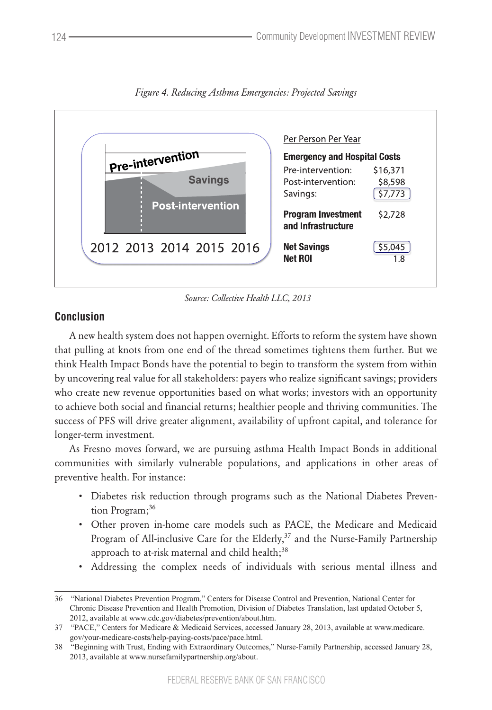

*Figure 4. Reducing Asthma Emergencies: Projected Savings*

*Source: Collective Health LLC, 2013*

## **Conclusion**

A new health system does not happen overnight. Efforts to reform the system have shown that pulling at knots from one end of the thread sometimes tightens them further. But we think Health Impact Bonds have the potential to begin to transform the system from within by uncovering real value for all stakeholders: payers who realize significant savings; providers who create new revenue opportunities based on what works; investors with an opportunity to achieve both social and financial returns; healthier people and thriving communities. The success of PFS will drive greater alignment, availability of upfront capital, and tolerance for longer-term investment.

As Fresno moves forward, we are pursuing asthma Health Impact Bonds in additional communities with similarly vulnerable populations, and applications in other areas of preventive health. For instance:

- • Diabetes risk reduction through programs such as the National Diabetes Prevention Program;<sup>36</sup>
- • Other proven in-home care models such as PACE, the Medicare and Medicaid Program of All-inclusive Care for the Elderly,<sup>37</sup> and the Nurse-Family Partnership approach to at-risk maternal and child health;<sup>38</sup>
- Addressing the complex needs of individuals with serious mental illness and

<sup>36</sup> "National Diabetes Prevention Program," Centers for Disease Control and Prevention, National Center for Chronic Disease Prevention and Health Promotion, Division of Diabetes Translation, last updated October 5, 2012, available at www.cdc.gov/diabetes/prevention/about.htm.

<sup>37</sup> "PACE," Centers for Medicare & Medicaid Services, accessed January 28, 2013, available at www.medicare. gov/your-medicare-costs/help-paying-costs/pace/pace.html.

<sup>38</sup> "Beginning with Trust, Ending with Extraordinary Outcomes," Nurse-Family Partnership, accessed January 28, 2013, available at www.nursefamilypartnership.org/about.